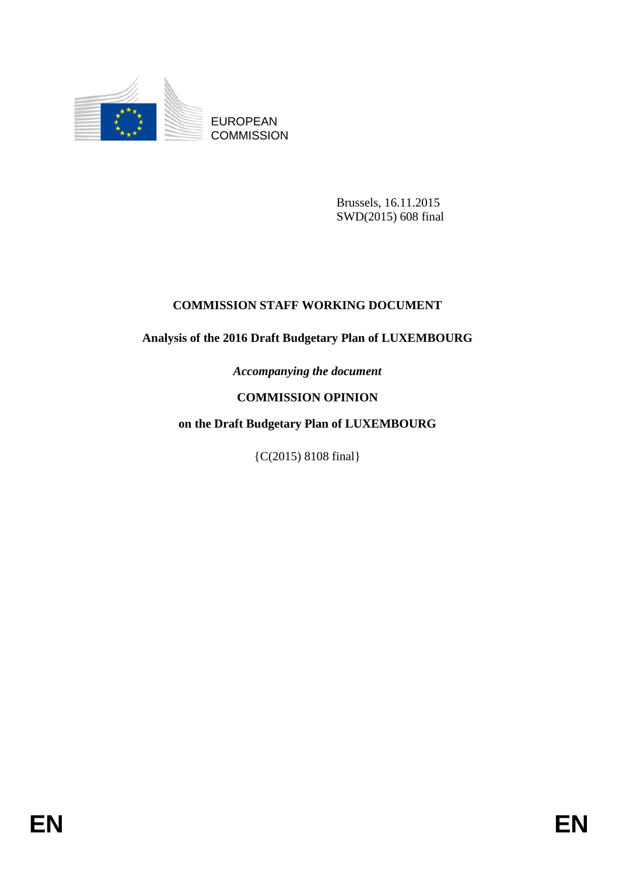

EUROPEAN **COMMISSION** 

> Brussels, 16.11.2015 SWD(2015) 608 final

# **COMMISSION STAFF WORKING DOCUMENT**

# **Analysis of the 2016 Draft Budgetary Plan of LUXEMBOURG**

*Accompanying the document*

# **COMMISSION OPINION**

# **on the Draft Budgetary Plan of LUXEMBOURG**

{C(2015) 8108 final}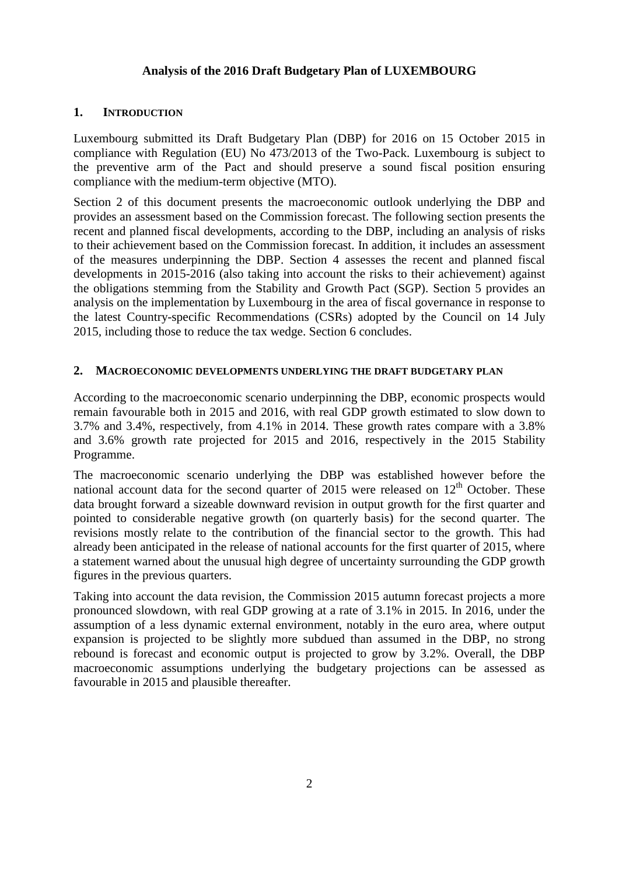## **Analysis of the 2016 Draft Budgetary Plan of LUXEMBOURG**

#### **1. INTRODUCTION**

Luxembourg submitted its Draft Budgetary Plan (DBP) for 2016 on 15 October 2015 in compliance with Regulation (EU) No 473/2013 of the Two-Pack. Luxembourg is subject to the preventive arm of the Pact and should preserve a sound fiscal position ensuring compliance with the medium-term objective (MTO).

Section 2 of this document presents the macroeconomic outlook underlying the DBP and provides an assessment based on the Commission forecast. The following section presents the recent and planned fiscal developments, according to the DBP, including an analysis of risks to their achievement based on the Commission forecast. In addition, it includes an assessment of the measures underpinning the DBP. Section 4 assesses the recent and planned fiscal developments in 2015-2016 (also taking into account the risks to their achievement) against the obligations stemming from the Stability and Growth Pact (SGP). Section 5 provides an analysis on the implementation by Luxembourg in the area of fiscal governance in response to the latest Country-specific Recommendations (CSRs) adopted by the Council on 14 July 2015, including those to reduce the tax wedge. Section 6 concludes.

#### **2. MACROECONOMIC DEVELOPMENTS UNDERLYING THE DRAFT BUDGETARY PLAN**

According to the macroeconomic scenario underpinning the DBP, economic prospects would remain favourable both in 2015 and 2016, with real GDP growth estimated to slow down to 3.7% and 3.4%, respectively, from 4.1% in 2014. These growth rates compare with a 3.8% and 3.6% growth rate projected for 2015 and 2016, respectively in the 2015 Stability Programme.

The macroeconomic scenario underlying the DBP was established however before the national account data for the second quarter of 2015 were released on  $12<sup>th</sup>$  October. These data brought forward a sizeable downward revision in output growth for the first quarter and pointed to considerable negative growth (on quarterly basis) for the second quarter. The revisions mostly relate to the contribution of the financial sector to the growth. This had already been anticipated in the release of national accounts for the first quarter of 2015, where a statement warned about the unusual high degree of uncertainty surrounding the GDP growth figures in the previous quarters.

Taking into account the data revision, the Commission 2015 autumn forecast projects a more pronounced slowdown, with real GDP growing at a rate of 3.1% in 2015. In 2016, under the assumption of a less dynamic external environment, notably in the euro area, where output expansion is projected to be slightly more subdued than assumed in the DBP, no strong rebound is forecast and economic output is projected to grow by 3.2%. Overall, the DBP macroeconomic assumptions underlying the budgetary projections can be assessed as favourable in 2015 and plausible thereafter.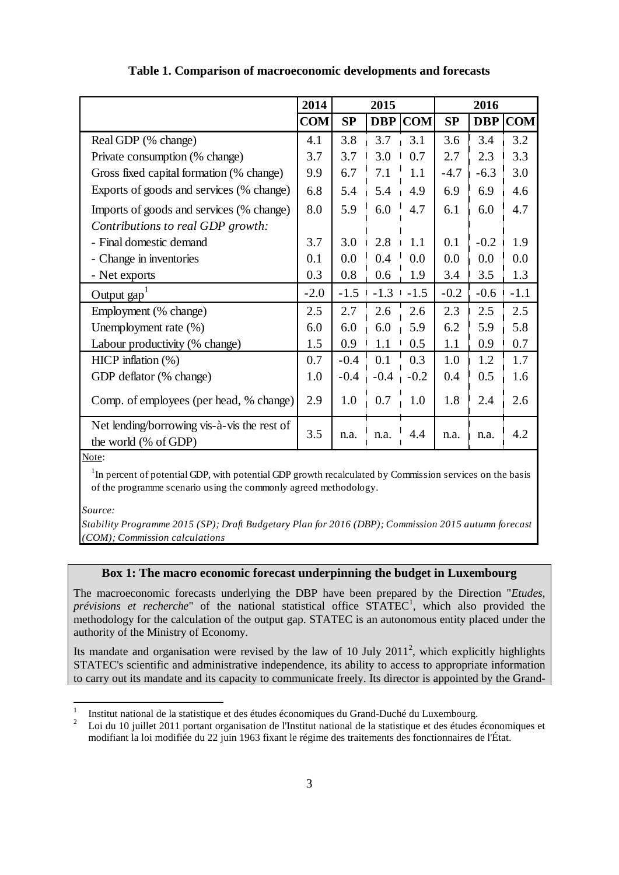|                                                                     | 2014       | 2015   |            |            | 2016      |            |            |
|---------------------------------------------------------------------|------------|--------|------------|------------|-----------|------------|------------|
|                                                                     | <b>COM</b> | SP     | <b>DBP</b> | <b>COM</b> | <b>SP</b> | <b>DBP</b> | <b>COM</b> |
| Real GDP (% change)                                                 | 4.1        | 3.8    | 3.7        | 3.1        | 3.6       | 3.4        | 3.2        |
| Private consumption (% change)                                      | 3.7        | 3.7    | 3.0        | 0.7        | 2.7       | 2.3        | 3.3        |
| Gross fixed capital formation (% change)                            | 9.9        | 6.7    | 7.1        | 1.1        | $-4.7$    | $-6.3$     | 3.0        |
| Exports of goods and services (% change)                            | 6.8        | 5.4    | 5.4        | 4.9        | 6.9       | 6.9        | 4.6        |
| Imports of goods and services (% change)                            | 8.0        | 5.9    | 6.0        | 4.7        | 6.1       | 6.0        | 4.7        |
| Contributions to real GDP growth:                                   |            |        |            |            |           |            |            |
| - Final domestic demand                                             | 3.7        | 3.0    | 2.8        | 1.1        | 0.1       | $-0.2$     | 1.9        |
| - Change in inventories                                             | 0.1        | 0.0    | 0.4        | 0.0        | 0.0       | 0.0        | 0.0        |
| - Net exports                                                       | 0.3        | 0.8    | 0.6        | 1.9        | 3.4       | 3.5        | 1.3        |
| Output $\text{gap}^1$                                               | $-2.0$     | $-1.5$ | $-1.3$     | $-1.5$     | $-0.2$    | $-0.6$     | $-1.1$     |
| Employment (% change)                                               | 2.5        | 2.7    | 2.6        | 2.6        | 2.3       | 2.5        | 2.5        |
| Unemployment rate $(\%)$                                            | 6.0        | 6.0    | 6.0        | 5.9        | 6.2       | 5.9        | 5.8        |
| Labour productivity (% change)                                      | 1.5        | 0.9    | 1.1        | 0.5        | 1.1       | 0.9        | 0.7        |
| HICP inflation $(\%)$                                               | 0.7        | $-0.4$ | 0.1        | 0.3        | 1.0       | 1.2        | 1.7        |
| GDP deflator (% change)                                             | 1.0        | $-0.4$ | $-0.4$     | $-0.2$     | 0.4       | 0.5        | 1.6        |
| Comp. of employees (per head, % change)                             | 2.9        | 1.0    | 0.7        | 1.0        | 1.8       | 2.4        | 2.6        |
| Net lending/borrowing vis-à-vis the rest of<br>the world (% of GDP) | 3.5        | n.a.   | n.a.       | 4.4        | n.a.      | n.a.       | 4.2        |

#### **Table 1. Comparison of macroeconomic developments and forecasts**

Note:

 $1$ In percent of potential GDP, with potential GDP growth recalculated by Commission services on the basis of the programme scenario using the commonly agreed methodology.

*Source:*

*Stability Programme 2015 (SP); Draft Budgetary Plan for 2016 (DBP); Commission 2015 autumn forecast (COM); Commission calculations*

## **Box 1: The macro economic forecast underpinning the budget in Luxembourg**

The macroeconomic forecasts underlying the DBP have been prepared by the Direction "*Etudes,*  prévisions et recherche" of the national statistical office STATEC<sup>[1](#page-2-0)</sup>, which also provided the methodology for the calculation of the output gap. STATEC is an autonomous entity placed under the authority of the Ministry of Economy.

Its mandate and organisation were revised by the law of 10 July  $2011^2$  $2011^2$ , which explicitly highlights STATEC's scientific and administrative independence, its ability to access to appropriate information to carry out its mandate and its capacity to communicate freely. Its director is appointed by the Grand-

<span id="page-2-1"></span>

<span id="page-2-0"></span><sup>&</sup>lt;sup>1</sup> Institut national de la statistique et des études économiques du Grand-Duché du Luxembourg.<br><sup>2</sup> Loi du 10 juillet 2011 portant organisation de l'Institut national de la statistique et des études économiques et modifiant la loi modifiée du 22 juin 1963 fixant le régime des traitements des fonctionnaires de l'État.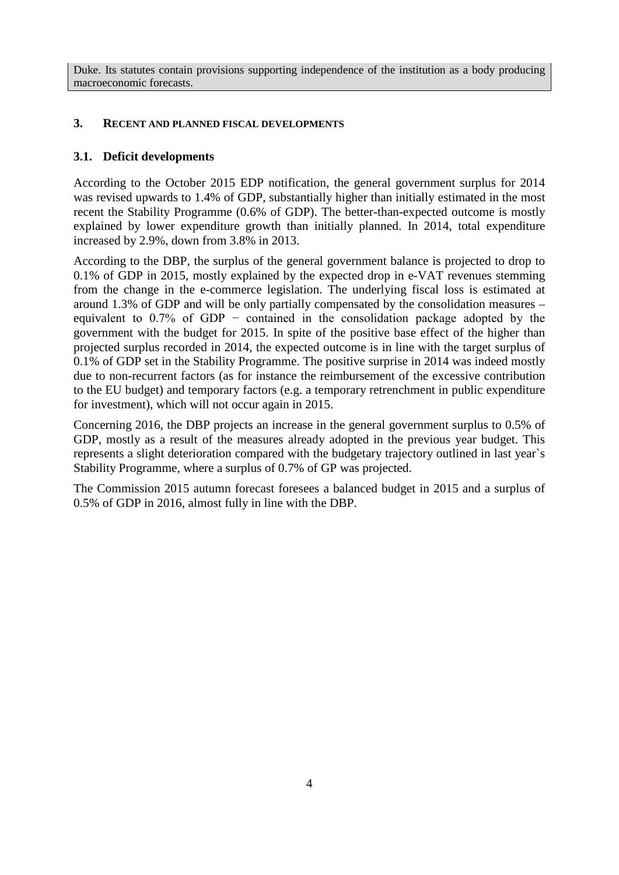Duke. Its statutes contain provisions supporting independence of the institution as a body producing macroeconomic forecasts.

## **3. RECENT AND PLANNED FISCAL DEVELOPMENTS**

# **3.1. Deficit developments**

According to the October 2015 EDP notification, the general government surplus for 2014 was revised upwards to 1.4% of GDP, substantially higher than initially estimated in the most recent the Stability Programme (0.6% of GDP). The better-than-expected outcome is mostly explained by lower expenditure growth than initially planned. In 2014, total expenditure increased by 2.9%, down from 3.8% in 2013.

According to the DBP, the surplus of the general government balance is projected to drop to 0.1% of GDP in 2015, mostly explained by the expected drop in e-VAT revenues stemming from the change in the e-commerce legislation. The underlying fiscal loss is estimated at around 1.3% of GDP and will be only partially compensated by the consolidation measures – equivalent to 0.7% of GDP − contained in the consolidation package adopted by the government with the budget for 2015. In spite of the positive base effect of the higher than projected surplus recorded in 2014, the expected outcome is in line with the target surplus of 0.1% of GDP set in the Stability Programme. The positive surprise in 2014 was indeed mostly due to non-recurrent factors (as for instance the reimbursement of the excessive contribution to the EU budget) and temporary factors (e.g. a temporary retrenchment in public expenditure for investment), which will not occur again in 2015.

Concerning 2016, the DBP projects an increase in the general government surplus to 0.5% of GDP, mostly as a result of the measures already adopted in the previous year budget. This represents a slight deterioration compared with the budgetary trajectory outlined in last year`s Stability Programme, where a surplus of 0.7% of GP was projected.

The Commission 2015 autumn forecast foresees a balanced budget in 2015 and a surplus of 0.5% of GDP in 2016, almost fully in line with the DBP.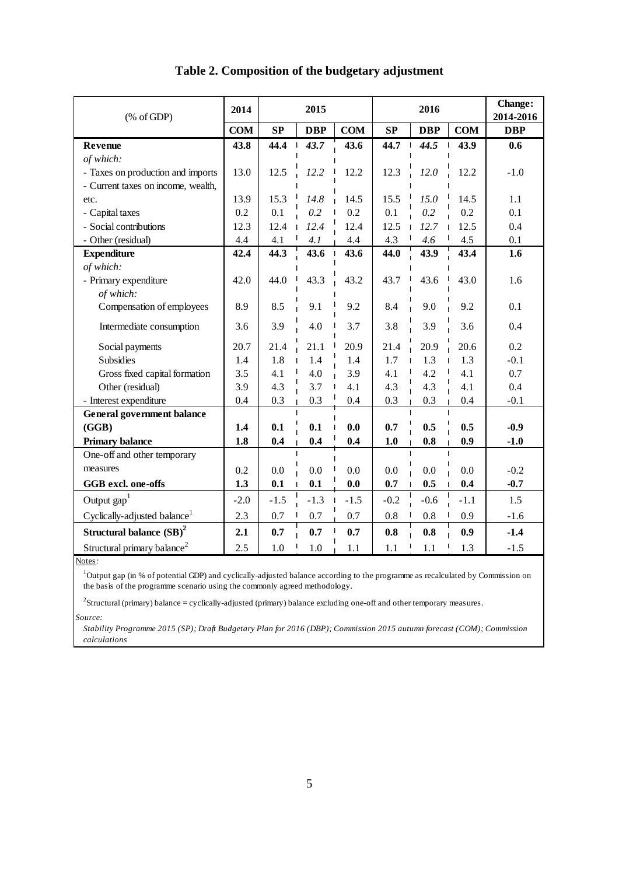| $(% \mathcal{L}_{0} \cap \mathcal{L}_{1})$ (% of GDP) | 2014       | 2015   |            |            | 2016   |            |            | Change:<br>2014-2016 |
|-------------------------------------------------------|------------|--------|------------|------------|--------|------------|------------|----------------------|
|                                                       | <b>COM</b> | SP     | <b>DBP</b> | <b>COM</b> | SP     | <b>DBP</b> | <b>COM</b> | <b>DBP</b>           |
| Revenue                                               | 43.8       | 44.4   | 43.7       | 43.6       | 44.7   | 44.5       | 43.9       | 0.6                  |
| of which:                                             |            |        |            |            |        |            |            |                      |
| - Taxes on production and imports                     | 13.0       | 12.5   | 12.2       | 12.2       | 12.3   | 12.0       | 12.2       | $-1.0$               |
| - Current taxes on income, wealth,                    |            |        |            |            |        |            |            |                      |
| etc.                                                  | 13.9       | 15.3   | 14.8       | 14.5       | 15.5   | 15.0       | 14.5       | 1.1                  |
| - Capital taxes                                       | 0.2        | 0.1    | 0.2        | 0.2        | 0.1    | 0.2        | 0.2        | 0.1                  |
| - Social contributions                                | 12.3       | 12.4   | 12.4       | 12.4       | 12.5   | 12.7       | 12.5       | 0.4                  |
| - Other (residual)                                    | 4.4        | 4.1    | 4.1        | 4.4        | 4.3    | 4.6        | 4.5        | 0.1                  |
| <b>Expenditure</b>                                    | 42.4       | 44.3   | 43.6       | 43.6       | 44.0   | 43.9       | 43.4       | 1.6                  |
| of which:                                             |            |        |            |            |        |            |            |                      |
| - Primary expenditure                                 | 42.0       | 44.0   | 43.3       | 43.2       | 43.7   | 43.6       | 43.0       | 1.6                  |
| of which:                                             |            |        |            |            |        |            |            |                      |
| Compensation of employees                             | 8.9        | 8.5    | 9.1        | 9.2        | 8.4    | 9.0        | 9.2        | 0.1                  |
| Intermediate consumption                              | 3.6        | 3.9    | 4.0        | 3.7        | 3.8    | 3.9        | 3.6        | 0.4                  |
| Social payments                                       | 20.7       | 21.4   | 21.1       | 20.9       | 21.4   | 20.9       | 20.6       | 0.2                  |
| <b>Subsidies</b>                                      | 1.4        | 1.8    | 1.4        | 1.4        | 1.7    | 1.3        | 1.3        | $-0.1$               |
| Gross fixed capital formation                         | 3.5        | 4.1    | 4.0        | 3.9        | 4.1    | 4.2        | 4.1        | 0.7                  |
| Other (residual)                                      | 3.9        | 4.3    | 3.7        | 4.1        | 4.3    | 4.3        | 4.1        | 0.4                  |
| - Interest expenditure                                | 0.4        | 0.3    | 0.3        | 0.4        | 0.3    | 0.3        | 0.4        | $-0.1$               |
| <b>General government balance</b>                     |            |        |            |            |        |            |            |                      |
| (GGB)                                                 | 1.4        | 0.1    | 0.1        | 0.0        | 0.7    | 0.5        | 0.5        | $-0.9$               |
| <b>Primary balance</b>                                | 1.8        | 0.4    | 0.4        | 0.4        | 1.0    | 0.8        | 0.9        | $-1.0$               |
| One-off and other temporary                           |            |        |            |            |        |            |            |                      |
| measures                                              | 0.2        | 0.0    | 0.0        | 0.0        | 0.0    | 0.0        | 0.0        | $-0.2$               |
| GGB excl. one-offs                                    | 1.3        | 0.1    | 0.1        | 0.0        | 0.7    | 0.5        | 0.4        | $-0.7$               |
| Output $\text{gap}^1$                                 | $-2.0$     | $-1.5$ | $-1.3$     | $-1.5$     | $-0.2$ | $-0.6$     | $-1.1$     | 1.5                  |
| Cyclically-adjusted balance <sup>1</sup>              | 2.3        | 0.7    | 0.7        | 0.7        | 0.8    | 0.8        | 0.9        | $-1.6$               |
| Structural balance $(SB)^2$                           | 2.1        | 0.7    | 0.7        | 0.7        | 0.8    | 0.8        | 0.9        | $-1.4$               |
| Structural primary balance <sup>2</sup>               | 2.5        | 1.0    | 1.0        | 1.1        | 1.1    | 1.1        | 1.3        | $-1.5$               |

# **Table 2. Composition of the budgetary adjustment**

Notes*:*

<sup>1</sup>Output gap (in % of potential GDP) and cyclically-adjusted balance according to the programme as recalculated by Commission on the basis of the programme scenario using the commonly agreed methodology.

*Source:* 2 Structural (primary) balance = cyclically-adjusted (primary) balance excluding one-off and other temporary measures.

*Stability Programme 2015 (SP); Draft Budgetary Plan for 2016 (DBP); Commission 2015 autumn forecast (COM); Commission calculations*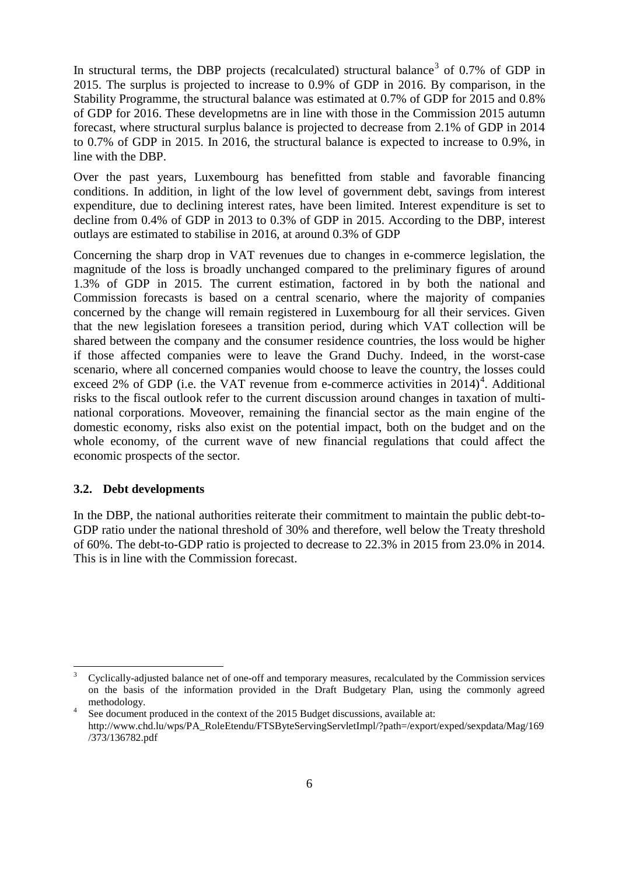In structural terms, the DBP projects (recalculated) structural balance<sup>[3](#page-5-0)</sup> of 0.7% of GDP in 2015. The surplus is projected to increase to 0.9% of GDP in 2016. By comparison, in the Stability Programme, the structural balance was estimated at 0.7% of GDP for 2015 and 0.8% of GDP for 2016. These developmetns are in line with those in the Commission 2015 autumn forecast, where structural surplus balance is projected to decrease from 2.1% of GDP in 2014 to 0.7% of GDP in 2015. In 2016, the structural balance is expected to increase to 0.9%, in line with the DBP.

Over the past years, Luxembourg has benefitted from stable and favorable financing conditions. In addition, in light of the low level of government debt, savings from interest expenditure, due to declining interest rates, have been limited. Interest expenditure is set to decline from 0.4% of GDP in 2013 to 0.3% of GDP in 2015. According to the DBP, interest outlays are estimated to stabilise in 2016, at around 0.3% of GDP

Concerning the sharp drop in VAT revenues due to changes in e-commerce legislation, the magnitude of the loss is broadly unchanged compared to the preliminary figures of around 1.3% of GDP in 2015. The current estimation, factored in by both the national and Commission forecasts is based on a central scenario, where the majority of companies concerned by the change will remain registered in Luxembourg for all their services. Given that the new legislation foresees a transition period, during which VAT collection will be shared between the company and the consumer residence countries, the loss would be higher if those affected companies were to leave the Grand Duchy. Indeed, in the worst-case scenario, where all concerned companies would choose to leave the country, the losses could exceed 2% of GDP (i.e. the VAT revenue from e-commerce activities in  $2014)^4$  $2014)^4$  $2014)^4$ . Additional risks to the fiscal outlook refer to the current discussion around changes in taxation of multinational corporations. Moveover, remaining the financial sector as the main engine of the domestic economy, risks also exist on the potential impact, both on the budget and on the whole economy, of the current wave of new financial regulations that could affect the economic prospects of the sector.

#### **3.2. Debt developments**

In the DBP, the national authorities reiterate their commitment to maintain the public debt-to-GDP ratio under the national threshold of 30% and therefore, well below the Treaty threshold of 60%. The debt-to-GDP ratio is projected to decrease to 22.3% in 2015 from 23.0% in 2014. This is in line with the Commission forecast.

<span id="page-5-0"></span><sup>3</sup> Cyclically-adjusted balance net of one-off and temporary measures, recalculated by the Commission services on the basis of the information provided in the Draft Budgetary Plan, using the commonly agreed methodology.<br><sup>4</sup> See document produced in the context of the 2015 Budget discussions, available at:

<span id="page-5-1"></span>http://www.chd.lu/wps/PA\_RoleEtendu/FTSByteServingServletImpl/?path=/export/exped/sexpdata/Mag/169 /373/136782.pdf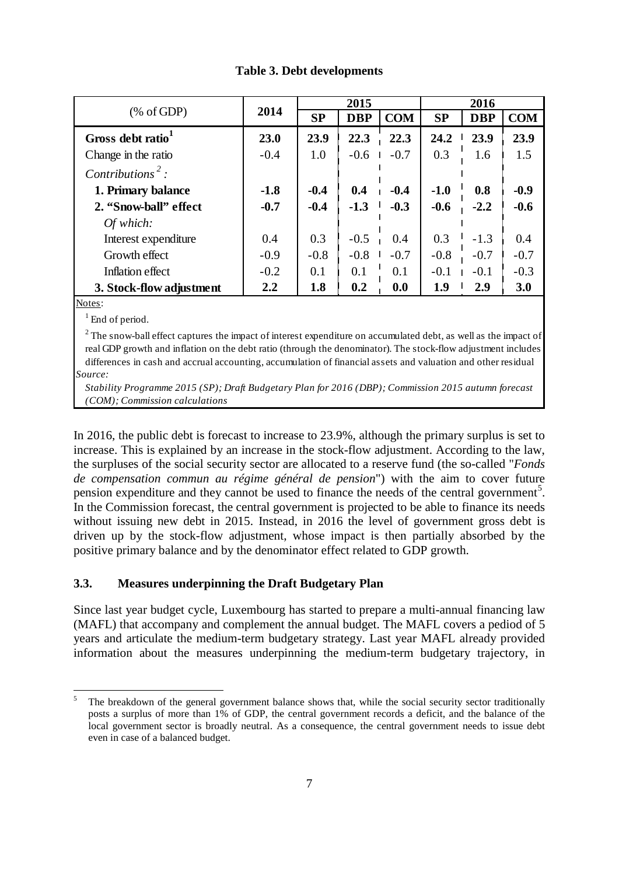| % of GDP                      |        | 2015      |            |            | 2016                     |            |            |
|-------------------------------|--------|-----------|------------|------------|--------------------------|------------|------------|
|                               | 2014   | <b>SP</b> | <b>DBP</b> | <b>COM</b> | <b>SP</b>                | <b>DBP</b> | <b>COM</b> |
| Gross debt ratio <sup>1</sup> | 23.0   | 23.9      | 22.3       | 22.3       | 24.2                     | 23.9       | 23.9       |
| Change in the ratio           | $-0.4$ | 1.0       | $-0.6$     | $-0.7$     | 0.3                      | 1.6        | 1.5        |
| Contributions <sup>2</sup> :  |        |           |            |            |                          |            |            |
| 1. Primary balance            | $-1.8$ | $-0.4$    | 0.4        | $-0.4$     | $-1.0$                   | 0.8        | $-0.9$     |
| 2. "Snow-ball" effect         | $-0.7$ | $-0.4$    | $-1.3$     | $-0.3$     | $-0.6$                   | $-2.2$     | $-0.6$     |
| Of which:                     |        |           |            |            |                          |            |            |
| Interest expenditure          | 0.4    | 0.3       | $-0.5$     | 0.4        | 0.3                      | $-1.3$     | 0.4        |
| Growth effect                 | $-0.9$ | $-0.8$    | $-0.8$     | $-0.7$     | $-0.8$                   | $-0.7$     | $-0.7$     |
| Inflation effect              | $-0.2$ | 0.1       | 0.1        | 0.1        | $-0.1$<br>$\blacksquare$ | $-0.1$     | $-0.3$     |
| 3. Stock-flow adjustment      | 2.2    | 1.8       | 0.2        | 0.0        | 1.9                      | 2.9        | 3.0        |
| $\mathbf{M}$                  |        |           |            |            |                          |            |            |

## **Table 3. Debt developments**

Notes:

 $1$  End of period.

*Source:* <sup>2</sup> The snow-ball effect captures the impact of interest expenditure on accumulated debt, as well as the impact of real GDP growth and inflation on the debt ratio (through the denominator). The stock-flow adjustment includes differences in cash and accrual accounting, accumulation of financial assets and valuation and other residual

*Stability Programme 2015 (SP); Draft Budgetary Plan for 2016 (DBP); Commission 2015 autumn forecast (COM); Commission calculations*

In 2016, the public debt is forecast to increase to 23.9%, although the primary surplus is set to increase. This is explained by an increase in the stock-flow adjustment. According to the law, the surpluses of the social security sector are allocated to a reserve fund (the so-called "*Fonds de compensation commun au régime général de pension*") with the aim to cover future pension expenditure and they cannot be used to finance the needs of the central government<sup>[5](#page-6-0)</sup>. In the Commission forecast, the central government is projected to be able to finance its needs without issuing new debt in 2015. Instead, in 2016 the level of government gross debt is driven up by the stock-flow adjustment, whose impact is then partially absorbed by the positive primary balance and by the denominator effect related to GDP growth.

## **3.3. Measures underpinning the Draft Budgetary Plan**

Since last year budget cycle, Luxembourg has started to prepare a multi-annual financing law (MAFL) that accompany and complement the annual budget. The MAFL covers a pediod of 5 years and articulate the medium-term budgetary strategy. Last year MAFL already provided information about the measures underpinning the medium-term budgetary trajectory, in

<span id="page-6-0"></span>The breakdown of the general government balance shows that, while the social security sector traditionally posts a surplus of more than 1% of GDP, the central government records a deficit, and the balance of the local government sector is broadly neutral. As a consequence, the central government needs to issue debt even in case of a balanced budget.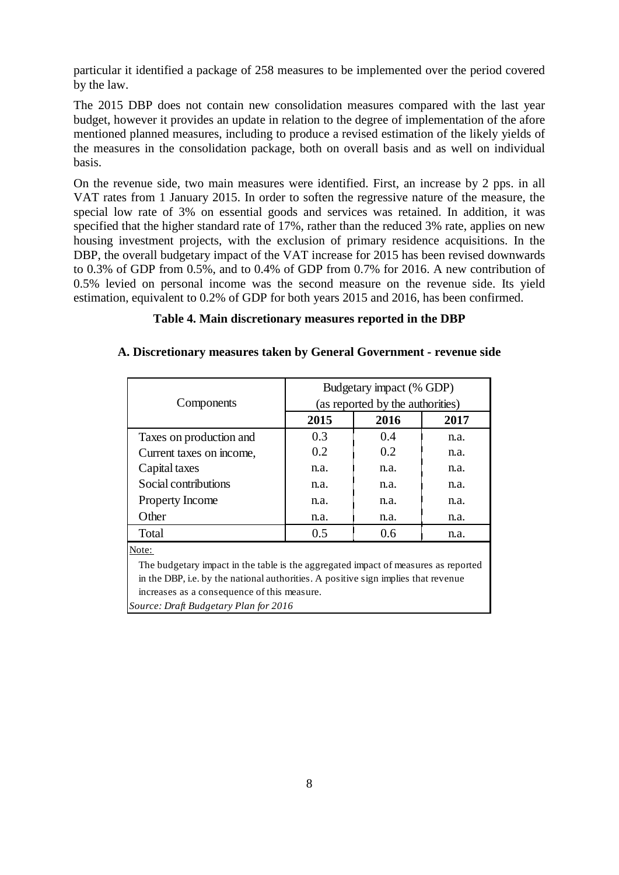particular it identified a package of 258 measures to be implemented over the period covered by the law.

The 2015 DBP does not contain new consolidation measures compared with the last year budget, however it provides an update in relation to the degree of implementation of the afore mentioned planned measures, including to produce a revised estimation of the likely yields of the measures in the consolidation package, both on overall basis and as well on individual basis.

On the revenue side, two main measures were identified. First, an increase by 2 pps. in all VAT rates from 1 January 2015. In order to soften the regressive nature of the measure, the special low rate of 3% on essential goods and services was retained. In addition, it was specified that the higher standard rate of 17%, rather than the reduced 3% rate, applies on new housing investment projects, with the exclusion of primary residence acquisitions. In the DBP, the overall budgetary impact of the VAT increase for 2015 has been revised downwards to 0.3% of GDP from 0.5%, and to 0.4% of GDP from 0.7% for 2016. A new contribution of 0.5% levied on personal income was the second measure on the revenue side. Its yield estimation, equivalent to 0.2% of GDP for both years 2015 and 2016, has been confirmed.

# **Table 4. Main discretionary measures reported in the DBP**

# **A. Discretionary measures taken by General Government - revenue side**

|                                                                                    | Budgetary impact (% GDP)         |      |      |  |  |  |  |
|------------------------------------------------------------------------------------|----------------------------------|------|------|--|--|--|--|
| Components                                                                         | (as reported by the authorities) |      |      |  |  |  |  |
|                                                                                    | 2015                             | 2016 | 2017 |  |  |  |  |
| Taxes on production and                                                            | 0.3                              | 0.4  | n.a. |  |  |  |  |
| Current taxes on income,                                                           | 0.2                              | 0.2  | n.a. |  |  |  |  |
| Capital taxes                                                                      | n.a.                             | n.a. | n.a. |  |  |  |  |
| Social contributions                                                               | n.a.                             | n.a. | n.a. |  |  |  |  |
| <b>Property Income</b>                                                             | n.a.                             | n.a. | n.a. |  |  |  |  |
| Other                                                                              | n.a.                             | n.a. | n.a. |  |  |  |  |
| Total                                                                              | 0.5                              | 0.6  | n.a. |  |  |  |  |
| Note:                                                                              |                                  |      |      |  |  |  |  |
| The budgetary impact in the table is the aggregated impact of measures as reported |                                  |      |      |  |  |  |  |
| in the DBP, i.e. by the national authorities. A positive sign implies that revenue |                                  |      |      |  |  |  |  |
| increases as a consequence of this measure.                                        |                                  |      |      |  |  |  |  |

*Source: Draft Budgetary Plan for 2016*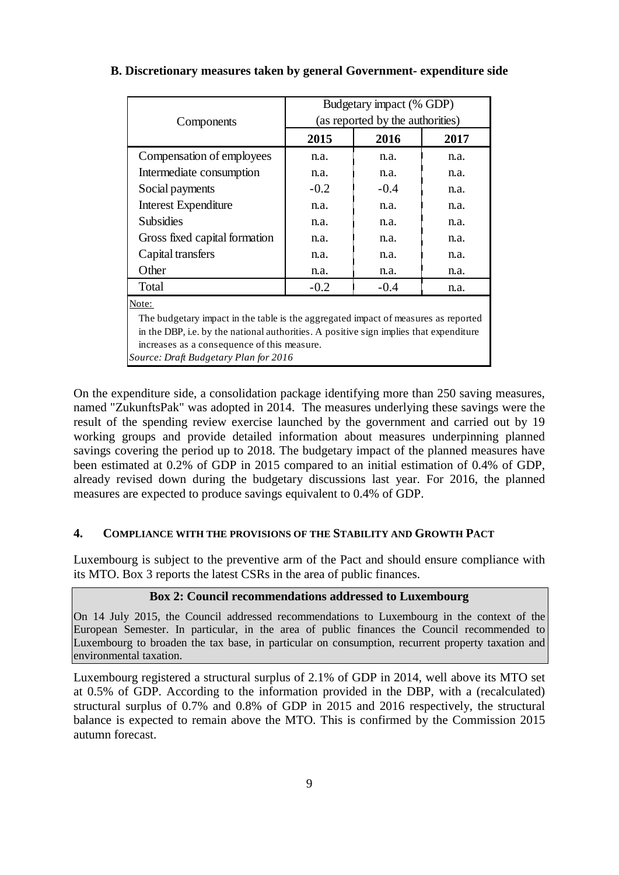|                                                                                        | Budgetary impact (% GDP)         |        |      |  |  |  |  |
|----------------------------------------------------------------------------------------|----------------------------------|--------|------|--|--|--|--|
| Components                                                                             | (as reported by the authorities) |        |      |  |  |  |  |
|                                                                                        | 2015                             | 2016   | 2017 |  |  |  |  |
| Compensation of employees                                                              | n.a.                             | n.a.   | n.a. |  |  |  |  |
| Intermediate consumption                                                               | n.a.                             | n.a.   | n.a. |  |  |  |  |
| Social payments                                                                        | $-0.2$                           | $-0.4$ | n.a. |  |  |  |  |
| <b>Interest Expenditure</b>                                                            | n.a.                             | n.a.   | n.a. |  |  |  |  |
| <b>Subsidies</b>                                                                       | n.a.                             | n.a.   | n.a. |  |  |  |  |
| Gross fixed capital formation                                                          | n.a.                             | n.a.   | n.a. |  |  |  |  |
| Capital transfers                                                                      | n.a.                             | n.a.   | n.a. |  |  |  |  |
| Other                                                                                  | n.a.                             | n.a.   | n.a. |  |  |  |  |
| Total                                                                                  | $-0.2$                           | $-0.4$ | n.a. |  |  |  |  |
| Note:                                                                                  |                                  |        |      |  |  |  |  |
| The budgetary impact in the table is the aggregated impact of measures as reported     |                                  |        |      |  |  |  |  |
| in the DBP, i.e. by the national authorities. A positive sign implies that expenditure |                                  |        |      |  |  |  |  |
| increases as a consequence of this measure.                                            |                                  |        |      |  |  |  |  |
| Source: Draft Budgetary Plan for 2016                                                  |                                  |        |      |  |  |  |  |

# **B. Discretionary measures taken by general Government- expenditure side**

On the expenditure side, a consolidation package identifying more than 250 saving measures, named "ZukunftsPak" was adopted in 2014. The measures underlying these savings were the result of the spending review exercise launched by the government and carried out by 19 working groups and provide detailed information about measures underpinning planned savings covering the period up to 2018. The budgetary impact of the planned measures have been estimated at 0.2% of GDP in 2015 compared to an initial estimation of 0.4% of GDP, already revised down during the budgetary discussions last year. For 2016, the planned measures are expected to produce savings equivalent to 0.4% of GDP.

### **4. COMPLIANCE WITH THE PROVISIONS OF THE STABILITY AND GROWTH PACT**

Luxembourg is subject to the preventive arm of the Pact and should ensure compliance with its MTO. Box 3 reports the latest CSRs in the area of public finances.

#### **Box 2: Council recommendations addressed to Luxembourg**

On 14 July 2015, the Council addressed recommendations to Luxembourg in the context of the European Semester. In particular, in the area of public finances the Council recommended to Luxembourg to broaden the tax base, in particular on consumption, recurrent property taxation and environmental taxation.

Luxembourg registered a structural surplus of 2.1% of GDP in 2014, well above its MTO set at 0.5% of GDP. According to the information provided in the DBP, with a (recalculated) structural surplus of 0.7% and 0.8% of GDP in 2015 and 2016 respectively, the structural balance is expected to remain above the MTO. This is confirmed by the Commission 2015 autumn forecast.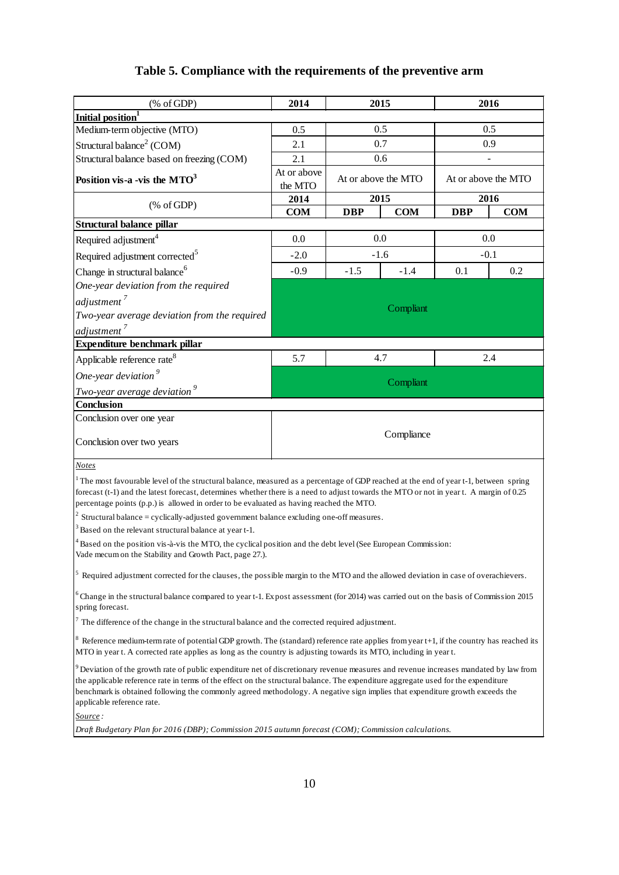# **Table 5. Compliance with the requirements of the preventive arm**

| $(% \mathcal{L}_{0} \cap \mathcal{L}_{1})$ (% of GDP)                                                                                                                                                                                                                                                                                                                                                                                       | 2014                   | 2015                |            |                     | 2016       |  |  |
|---------------------------------------------------------------------------------------------------------------------------------------------------------------------------------------------------------------------------------------------------------------------------------------------------------------------------------------------------------------------------------------------------------------------------------------------|------------------------|---------------------|------------|---------------------|------------|--|--|
| Initial position <sup>1</sup>                                                                                                                                                                                                                                                                                                                                                                                                               |                        |                     |            |                     |            |  |  |
| Medium-term objective (MTO)                                                                                                                                                                                                                                                                                                                                                                                                                 | 0.5                    | 0.5                 |            | 0.5                 |            |  |  |
| Structural balance <sup>2</sup> (COM)                                                                                                                                                                                                                                                                                                                                                                                                       | 2.1                    | 0.7                 |            | 0.9                 |            |  |  |
| Structural balance based on freezing (COM)                                                                                                                                                                                                                                                                                                                                                                                                  | 2.1                    | 0.6                 |            |                     |            |  |  |
| Position vis-a -vis the $MTO3$                                                                                                                                                                                                                                                                                                                                                                                                              | At or above<br>the MTO | At or above the MTO |            | At or above the MTO |            |  |  |
| $(% \mathcal{L}_{0} \cap \mathcal{L}_{1})$ (% of GDP)                                                                                                                                                                                                                                                                                                                                                                                       | 2014                   | 2015                |            | 2016                |            |  |  |
|                                                                                                                                                                                                                                                                                                                                                                                                                                             | <b>COM</b>             | <b>DBP</b>          | <b>COM</b> | <b>DBP</b>          | <b>COM</b> |  |  |
| Structural balance pillar                                                                                                                                                                                                                                                                                                                                                                                                                   |                        |                     |            |                     |            |  |  |
| Required adjustment <sup>4</sup>                                                                                                                                                                                                                                                                                                                                                                                                            | 0.0                    | 0.0                 |            | 0.0<br>$-0.1$       |            |  |  |
| Required adjustment corrected <sup>5</sup>                                                                                                                                                                                                                                                                                                                                                                                                  | $-2.0$                 | $-1.6$              |            |                     |            |  |  |
| Change in structural balance <sup>6</sup>                                                                                                                                                                                                                                                                                                                                                                                                   | $-0.9$                 | $-1.5$              | $-1.4$     | 0.1                 | 0.2        |  |  |
| One-year deviation from the required                                                                                                                                                                                                                                                                                                                                                                                                        |                        |                     |            |                     |            |  |  |
| adjustment <sup>7</sup>                                                                                                                                                                                                                                                                                                                                                                                                                     |                        |                     | Compliant  |                     |            |  |  |
| Two-year average deviation from the required                                                                                                                                                                                                                                                                                                                                                                                                |                        |                     |            |                     |            |  |  |
| adjustment <sup>7</sup>                                                                                                                                                                                                                                                                                                                                                                                                                     |                        |                     |            |                     |            |  |  |
| Expenditure benchmark pillar                                                                                                                                                                                                                                                                                                                                                                                                                |                        |                     |            |                     |            |  |  |
| Applicable reference rate <sup>8</sup>                                                                                                                                                                                                                                                                                                                                                                                                      | 5.7                    |                     | 4.7        | 2.4                 |            |  |  |
| One-year deviation <sup>9</sup>                                                                                                                                                                                                                                                                                                                                                                                                             | Compliant              |                     |            |                     |            |  |  |
| <u>Two-year average deviation</u> <sup>9</sup>                                                                                                                                                                                                                                                                                                                                                                                              |                        |                     |            |                     |            |  |  |
| Conclusion                                                                                                                                                                                                                                                                                                                                                                                                                                  |                        |                     |            |                     |            |  |  |
| Conclusion over one year                                                                                                                                                                                                                                                                                                                                                                                                                    |                        |                     |            |                     |            |  |  |
| Conclusion over two years                                                                                                                                                                                                                                                                                                                                                                                                                   |                        |                     | Compliance |                     |            |  |  |
| <b>Notes</b>                                                                                                                                                                                                                                                                                                                                                                                                                                |                        |                     |            |                     |            |  |  |
| The most favourable level of the structural balance, measured as a percentage of GDP reached at the end of year t-1, between spring<br>forecast (t-1) and the latest forecast, determines whether there is a need to adjust towards the MTO or not in year t. A margin of 0.25<br>percentage points (p.p.) is allowed in order to be evaluated as having reached the MTO.                                                                   |                        |                     |            |                     |            |  |  |
| $2$ Structural balance = cyclically-adjusted government balance excluding one-off measures.                                                                                                                                                                                                                                                                                                                                                 |                        |                     |            |                     |            |  |  |
| <sup>3</sup> Based on the relevant structural balance at year t-1.                                                                                                                                                                                                                                                                                                                                                                          |                        |                     |            |                     |            |  |  |
| Based on the position vis-à-vis the MTO, the cyclical position and the debt level (See European Commission:<br>Vade mecum on the Stability and Growth Pact, page 27.).                                                                                                                                                                                                                                                                      |                        |                     |            |                     |            |  |  |
| Required adjustment corrected for the clauses, the possible margin to the MTO and the allowed deviation in case of overachievers.                                                                                                                                                                                                                                                                                                           |                        |                     |            |                     |            |  |  |
| $6$ Change in the structural balance compared to year t-1. Expost assessment (for 2014) was carried out on the basis of Commission 2015<br>spring forecast.                                                                                                                                                                                                                                                                                 |                        |                     |            |                     |            |  |  |
| $\sigma$ The difference of the change in the structural balance and the corrected required adjustment.                                                                                                                                                                                                                                                                                                                                      |                        |                     |            |                     |            |  |  |
| Reference medium-term rate of potential GDP growth. The (standard) reference rate applies from year t+1, if the country has reached its<br>MTO in year t. A corrected rate applies as long as the country is adjusting towards its MTO, including in year t.                                                                                                                                                                                |                        |                     |            |                     |            |  |  |
| $9$ Deviation of the growth rate of public expenditure net of discretionary revenue measures and revenue increases mandated by law from<br>the applicable reference rate in terms of the effect on the structural balance. The expenditure aggregate used for the expenditure<br>benchmark is obtained following the commonly agreed methodology. A negative sign implies that expenditure growth exceeds the<br>applicable reference rate. |                        |                     |            |                     |            |  |  |
| Source :                                                                                                                                                                                                                                                                                                                                                                                                                                    |                        |                     |            |                     |            |  |  |
| Draft Budgetary Plan for 2016 (DBP); Commission 2015 autumn forecast (COM); Commission calculations.                                                                                                                                                                                                                                                                                                                                        |                        |                     |            |                     |            |  |  |
|                                                                                                                                                                                                                                                                                                                                                                                                                                             |                        |                     |            |                     |            |  |  |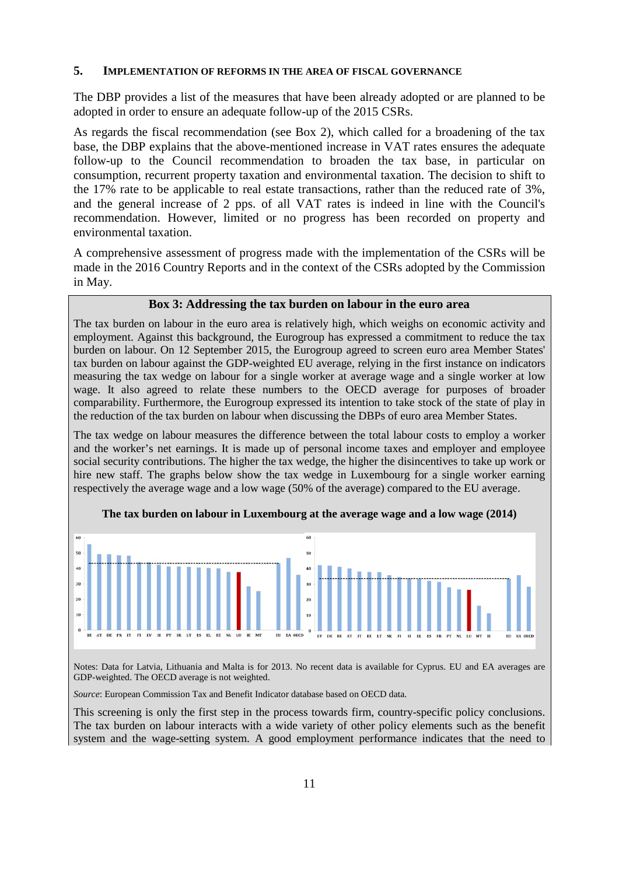#### **5. IMPLEMENTATION OF REFORMS IN THE AREA OF FISCAL GOVERNANCE**

The DBP provides a list of the measures that have been already adopted or are planned to be adopted in order to ensure an adequate follow-up of the 2015 CSRs.

As regards the fiscal recommendation (see Box 2), which called for a broadening of the tax base, the DBP explains that the above-mentioned increase in VAT rates ensures the adequate follow-up to the Council recommendation to broaden the tax base, in particular on consumption, recurrent property taxation and environmental taxation. The decision to shift to the 17% rate to be applicable to real estate transactions, rather than the reduced rate of 3%, and the general increase of 2 pps. of all VAT rates is indeed in line with the Council's recommendation. However, limited or no progress has been recorded on property and environmental taxation.

A comprehensive assessment of progress made with the implementation of the CSRs will be made in the 2016 Country Reports and in the context of the CSRs adopted by the Commission in May.

#### **Box 3: Addressing the tax burden on labour in the euro area**

The tax burden on labour in the euro area is relatively high, which weighs on economic activity and employment. Against this background, the Eurogroup has expressed a commitment to reduce the tax burden on labour. On 12 September 2015, the Eurogroup agreed to screen euro area Member States' tax burden on labour against the GDP-weighted EU average, relying in the first instance on indicators measuring the tax wedge on labour for a single worker at average wage and a single worker at low wage. It also agreed to relate these numbers to the OECD average for purposes of broader comparability. Furthermore, the Eurogroup expressed its intention to take stock of the state of play in the reduction of the tax burden on labour when discussing the DBPs of euro area Member States.

The tax wedge on labour measures the difference between the total labour costs to employ a worker and the worker's net earnings. It is made up of personal income taxes and employer and employee social security contributions. The higher the tax wedge, the higher the disincentives to take up work or hire new staff. The graphs below show the tax wedge in Luxembourg for a single worker earning respectively the average wage and a low wage (50% of the average) compared to the EU average.



**The tax burden on labour in Luxembourg at the average wage and a low wage (2014)**

Notes: Data for Latvia, Lithuania and Malta is for 2013. No recent data is available for Cyprus. EU and EA averages are GDP-weighted. The OECD average is not weighted.

*Source*: European Commission Tax and Benefit Indicator database based on OECD data.

This screening is only the first step in the process towards firm, country-specific policy conclusions. The tax burden on labour interacts with a wide variety of other policy elements such as the benefit system and the wage-setting system. A good employment performance indicates that the need to